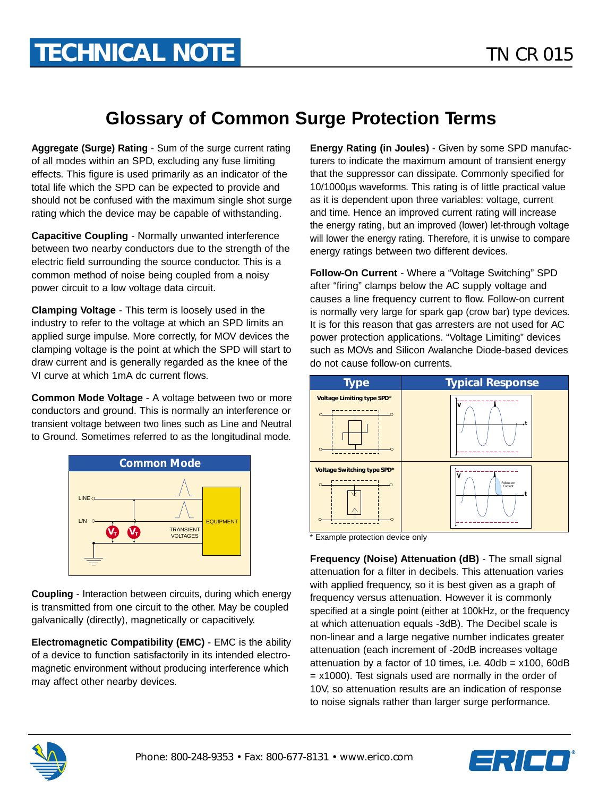## **Glossary of Common Surge Protection Terms**

**Aggregate (Surge) Rating** - Sum of the surge current rating of all modes within an SPD, excluding any fuse limiting effects. This figure is used primarily as an indicator of the total life which the SPD can be expected to provide and should not be confused with the maximum single shot surge rating which the device may be capable of withstanding.

**Capacitive Coupling** - Normally unwanted interference between two nearby conductors due to the strength of the electric field surrounding the source conductor. This is a common method of noise being coupled from a noisy power circuit to a low voltage data circuit.

**Clamping Voltage** - This term is loosely used in the industry to refer to the voltage at which an SPD limits an applied surge impulse. More correctly, for MOV devices the clamping voltage is the point at which the SPD will start to draw current and is generally regarded as the knee of the VI curve at which 1mA dc current flows.

**Common Mode Voltage** - A voltage between two or more conductors and ground. This is normally an interference or transient voltage between two lines such as Line and Neutral to Ground. Sometimes referred to as the longitudinal mode.



**Coupling** - Interaction between circuits, during which energy is transmitted from one circuit to the other. May be coupled galvanically (directly), magnetically or capacitively.

**Electromagnetic Compatibility (EMC)** - EMC is the ability of a device to function satisfactorily in its intended electromagnetic environment without producing interference which may affect other nearby devices.

**Energy Rating (in Joules)** - Given by some SPD manufacturers to indicate the maximum amount of transient energy that the suppressor can dissipate. Commonly specified for 10/1000µs waveforms. This rating is of little practical value as it is dependent upon three variables: voltage, current and time. Hence an improved current rating will increase the energy rating, but an improved (lower) let-through voltage will lower the energy rating. Therefore, it is unwise to compare energy ratings between two different devices.

**Follow-On Current** - Where a "Voltage Switching" SPD after "firing" clamps below the AC supply voltage and causes a line frequency current to flow. Follow-on current is normally very large for spark gap (crow bar) type devices. It is for this reason that gas arresters are not used for AC power protection applications. "Voltage Limiting" devices such as MOVs and Silicon Avalanche Diode-based devices do not cause follow-on currents.

| <b>Type</b>                      | <b>Typical Response</b> |
|----------------------------------|-------------------------|
| Voltage Limiting type SPD*       |                         |
| Voltage Switching type SPD*<br>∩ | Follow-on<br>Current    |

\* Example protection device only

**Frequency (Noise) Attenuation (dB)** - The small signal attenuation for a filter in decibels. This attenuation varies with applied frequency, so it is best given as a graph of frequency versus attenuation. However it is commonly specified at a single point (either at 100kHz, or the frequency at which attenuation equals -3dB). The Decibel scale is non-linear and a large negative number indicates greater attenuation (each increment of -20dB increases voltage attenuation by a factor of 10 times, i.e.  $40db = x100$ ,  $60dB$  $= x1000$ ). Test signals used are normally in the order of 10V, so attenuation results are an indication of response to noise signals rather than larger surge performance.



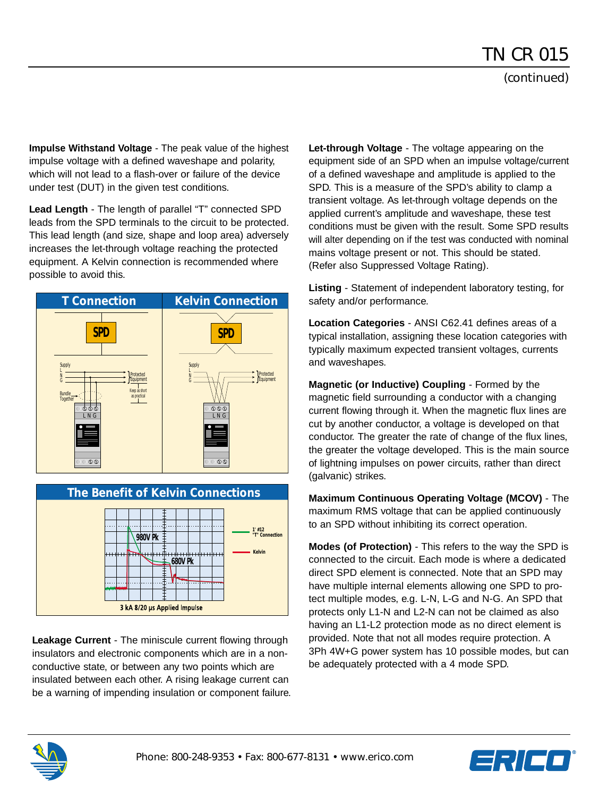*(continued)*

**Impulse Withstand Voltage** - The peak value of the highest impulse voltage with a defined waveshape and polarity, which will not lead to a flash-over or failure of the device under test (DUT) in the given test conditions.

**Lead Length** - The length of parallel "T" connected SPD leads from the SPD terminals to the circuit to be protected. This lead length (and size, shape and loop area) adversely increases the let-through voltage reaching the protected equipment. A Kelvin connection is recommended where possible to avoid this.





**Leakage Current** - The miniscule current flowing through insulators and electronic components which are in a nonconductive state, or between any two points which are insulated between each other. A rising leakage current can be a warning of impending insulation or component failure. **Let-through Voltage** - The voltage appearing on the equipment side of an SPD when an impulse voltage/current of a defined waveshape and amplitude is applied to the SPD. This is a measure of the SPD's ability to clamp a transient voltage. As let-through voltage depends on the applied current's amplitude and waveshape, these test conditions must be given with the result. Some SPD results will alter depending on if the test was conducted with nominal mains voltage present or not. This should be stated. (Refer also Suppressed Voltage Rating).

**Listing** - Statement of independent laboratory testing, for safety and/or performance.

**Location Categories** - ANSI C62.41 defines areas of a typical installation, assigning these location categories with typically maximum expected transient voltages, currents and waveshapes.

**Magnetic (or Inductive) Coupling** - Formed by the magnetic field surrounding a conductor with a changing current flowing through it. When the magnetic flux lines are cut by another conductor, a voltage is developed on that conductor. The greater the rate of change of the flux lines, the greater the voltage developed. This is the main source of lightning impulses on power circuits, rather than direct (galvanic) strikes.

**Maximum Continuous Operating Voltage (MCOV)** - The maximum RMS voltage that can be applied continuously to an SPD without inhibiting its correct operation.

**Modes (of Protection)** - This refers to the way the SPD is connected to the circuit. Each mode is where a dedicated direct SPD element is connected. Note that an SPD may have multiple internal elements allowing one SPD to protect multiple modes, e.g. L-N, L-G and N-G. An SPD that protects only L1-N and L2-N can not be claimed as also having an L1-L2 protection mode as no direct element is provided. Note that not all modes require protection. A 3Ph 4W+G power system has 10 possible modes, but can be adequately protected with a 4 mode SPD.